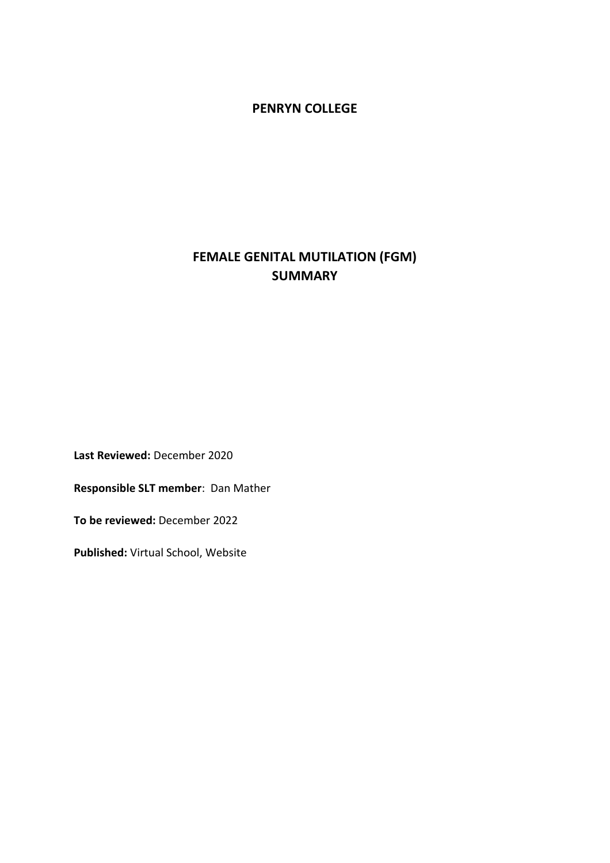### **PENRYN COLLEGE**

# **FEMALE GENITAL MUTILATION (FGM) SUMMARY**

**Last Reviewed:** December 2020

**Responsible SLT member**: Dan Mather

**To be reviewed:** December 2022

**Published:** Virtual School, Website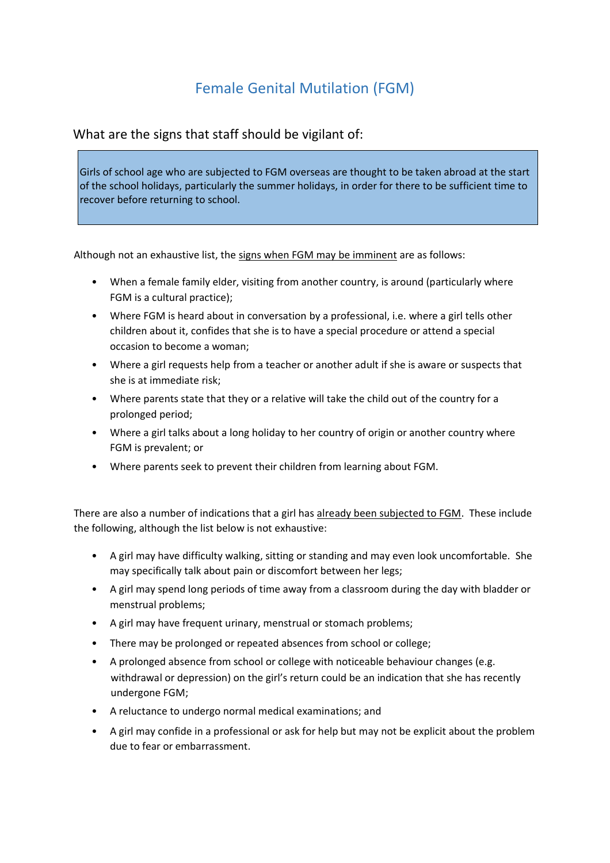# Female Genital Mutilation (FGM)

## What are the signs that staff should be vigilant of:

Girls of school age who are subjected to FGM overseas are thought to be taken abroad at the start of the school holidays, particularly the summer holidays, in order for there to be sufficient time to recover before returning to school.

Although not an exhaustive list, the signs when FGM may be imminent are as follows:

- When a female family elder, visiting from another country, is around (particularly where FGM is a cultural practice);
- Where FGM is heard about in conversation by a professional, i.e. where a girl tells other children about it, confides that she is to have a special procedure or attend a special occasion to become a woman;
- Where a girl requests help from a teacher or another adult if she is aware or suspects that she is at immediate risk;
- Where parents state that they or a relative will take the child out of the country for a prolonged period;
- Where a girl talks about a long holiday to her country of origin or another country where FGM is prevalent; or
- Where parents seek to prevent their children from learning about FGM.

There are also a number of indications that a girl has already been subjected to FGM. These include the following, although the list below is not exhaustive:

- A girl may have difficulty walking, sitting or standing and may even look uncomfortable. She may specifically talk about pain or discomfort between her legs;
- A girl may spend long periods of time away from a classroom during the day with bladder or menstrual problems;
- A girl may have frequent urinary, menstrual or stomach problems;
- There may be prolonged or repeated absences from school or college;
- A prolonged absence from school or college with noticeable behaviour changes (e.g. withdrawal or depression) on the girl's return could be an indication that she has recently undergone FGM;
- A reluctance to undergo normal medical examinations; and
- A girl may confide in a professional or ask for help but may not be explicit about the problem due to fear or embarrassment.